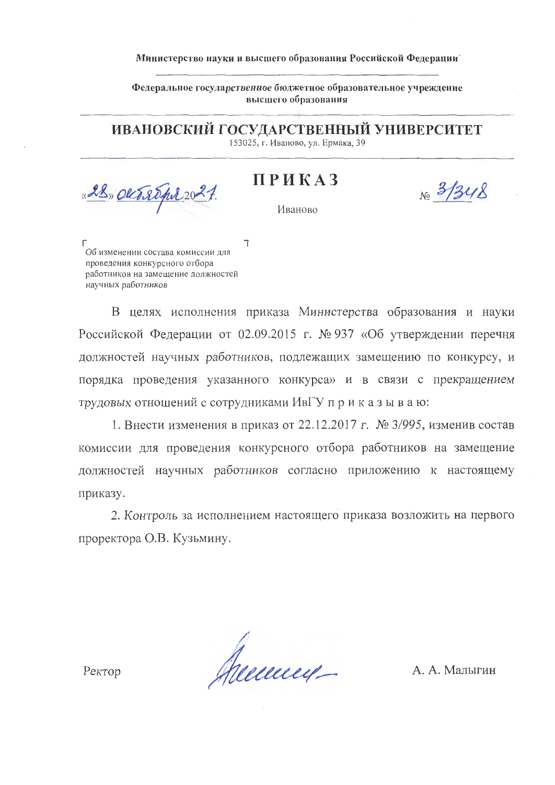## Министерство науки и высшего образования Российской Федерации

Федеральное государственное бюджетное образовательное учреждение высшего образования

ИВАНОВСКИЙ ГОСУДАРСТВЕННЫЙ УНИВЕРСИТЕТ 153025, г. Иваново, ул. Ермака, 39

**ПРИКАЗ** 

 $Ne^{3/348}$ 

Иваново

 $\mathbb{R}$ 

 $\Gamma$ Об изменении состава комиссии для проведения конкурсного отбора работников на замещение должностей научных работников

28 Okt 20pt 20

В целях исполнения приказа Министерства образования и науки Российской Федерации от 02.09.2015 г. № 937 «Об утверждении перечня должностей научных работников, подлежащих замещению по конкурсу, и порядка проведения указанного конкурса» и в связи с прекращением трудовых отношений с сотрудниками ИвГУ приказываю:

1. Внести изменения в приказ от 22.12.2017 г. № 3/995, изменив состав комиссии для проведения конкурсного отбора работников на замещение должностей научных работников согласно приложению к настоящему приказу.

2. Контроль за исполнением настоящего приказа возложить на первого проректора О.В. Кузьмину.

Areceived-

А. А. Малыгин

Ректор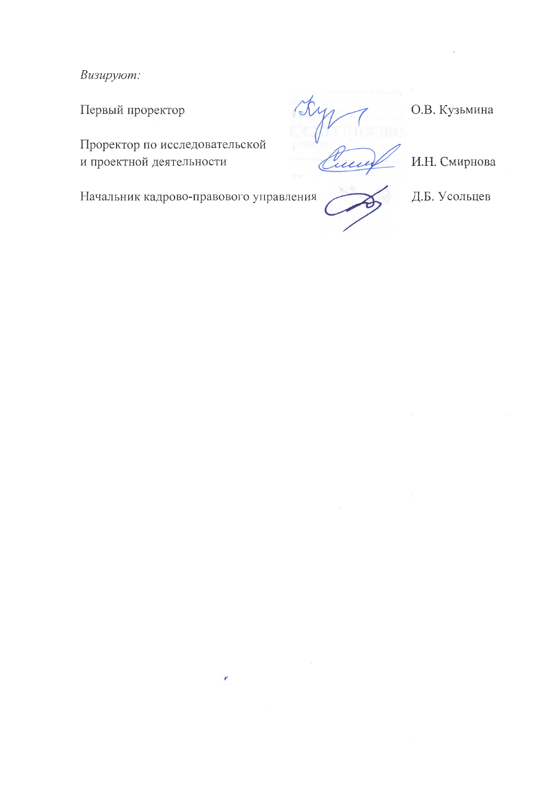Визируют:

Первый проректор

Проректор по исследовательской и проектной деятельности

О.В. Кузьмина

И.Н. Смирнова

Начальник кадрово-правового управления

 $\mathcal{P}$ 



Д.Б. Усольцев